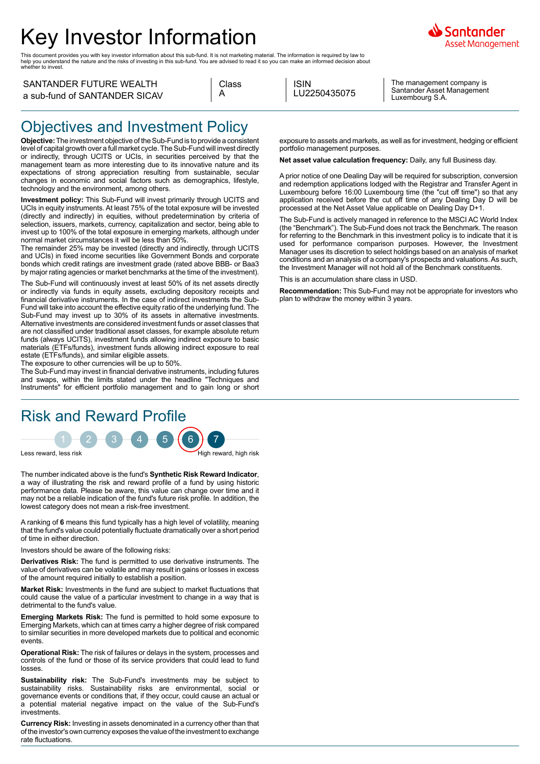# Key Investor Information

This document provides you with key investor information about this sub-fund. It is not marketing material. The information is required by law to<br>help you understand the nature and the risks of investing in this sub-fund.



SANTANDER FUTURE WEALTH a sub-fund of SANTANDER SICAV

|   | Class |
|---|-------|
| А |       |

ISIN LU2250435075

The management company is Santander Asset Management Luxembourg S.A.

### Objectives and Investment Policy

**Objective:** The investment objective of the Sub-Fund is to provide a consistent level of capital growth over a full market cycle. The Sub-Fund will invest directly or indirectly, through UCITS or UCIs, in securities perceived by that the management team as more interesting due to its innovative nature and its expectations of strong appreciation resulting from sustainable, secular changes in economic and social factors such as demographics, lifestyle, technology and the environment, among others.

**Investment policy:** This Sub-Fund will invest primarily through UCITS and UCIs in equity instruments. At least 75% of the total exposure will be invested (directly and indirectly) in equities, without predetermination by criteria of selection, issuers, markets, currency, capitalization and sector, being able to invest up to 100% of the total exposure in emerging markets, although under normal market circumstances it will be less than 50%.

The remainder 25% may be invested (directly and indirectly, through UCITS and UCIs) in fixed income securities like Government Bonds and corporate bonds which credit ratings are investment grade (rated above BBB- or Baa3 by major rating agencies or market benchmarks at the time of the investment).

The Sub-Fund will continuously invest at least 50% of its net assets directly or indirectly via funds in equity assets, excluding depository receipts and financial derivative instruments. In the case of indirect investments the Sub-Fund will take into account the effective equity ratio of the underlying fund. The Sub-Fund may invest up to 30% of its assets in alternative investments. Alternative investments are considered investment funds or asset classes that are not classified under traditional asset classes, for example absolute return funds (always UCITS), investment funds allowing indirect exposure to basic materials (ETFs/funds), investment funds allowing indirect exposure to real estate (ETFs/funds), and similar eligible assets.

The exposure to other currencies will be up to 50%.

The Sub-Fund may invest in financial derivative instruments, including futures and swaps, within the limits stated under the headline "Techniques and Instruments" for efficient portfolio management and to gain long or short

## Risk and Reward Profile



The number indicated above is the fund's **Synthetic Risk Reward Indicator**, a way of illustrating the risk and reward profile of a fund by using historic performance data. Please be aware, this value can change over time and it may not be a reliable indication of the fund's future risk profile. In addition, the lowest category does not mean a risk-free investment.

A ranking of **6** means this fund typically has a high level of volatility, meaning that the fund's value could potentially fluctuate dramatically over a short period of time in either direction.

Investors should be aware of the following risks:

**Derivatives Risk:** The fund is permitted to use derivative instruments. The value of derivatives can be volatile and may result in gains or losses in excess of the amount required initially to establish a position.

**Market Risk:** Investments in the fund are subject to market fluctuations that could cause the value of a particular investment to change in a way that is detrimental to the fund's value.

**Emerging Markets Risk:** The fund is permitted to hold some exposure to Emerging Markets, which can at times carry a higher degree of risk compared to similar securities in more developed markets due to political and economic events.

**Operational Risk:** The risk of failures or delays in the system, processes and controls of the fund or those of its service providers that could lead to fund losses.

**Sustainability risk:** The Sub-Fund's investments may be subject to sustainability risks. Sustainability risks are environmental, social or governance events or conditions that, if they occur, could cause an actual or a potential material negative impact on the value of the Sub-Fund's investments.

**Currency Risk:** Investing in assets denominated in a currency other than that of the investor's own currency exposes the value of the investment to exchange rate fluctuations.

exposure to assets and markets, as well as for investment, hedging or efficient portfolio management purposes.

**Net asset value calculation frequency:** Daily, any full Business day.

A prior notice of one Dealing Day will be required for subscription, conversion and redemption applications lodged with the Registrar and Transfer Agent in Luxembourg before 16:00 Luxembourg time (the "cut off time") so that any application received before the cut off time of any Dealing Day D will be processed at the Net Asset Value applicable on Dealing Day D+1.

The Sub-Fund is actively managed in reference to the MSCI AC World Index (the "Benchmark"). The Sub-Fund does not track the Benchmark. The reason for referring to the Benchmark in this investment policy is to indicate that it is used for performance comparison purposes. However, the Investment Manager uses its discretion to select holdings based on an analysis of market conditions and an analysis of a company's prospects and valuations. As such, the Investment Manager will not hold all of the Benchmark constituents.

This is an accumulation share class in USD.

**Recommendation:** This Sub-Fund may not be appropriate for investors who plan to withdraw the money within 3 years.